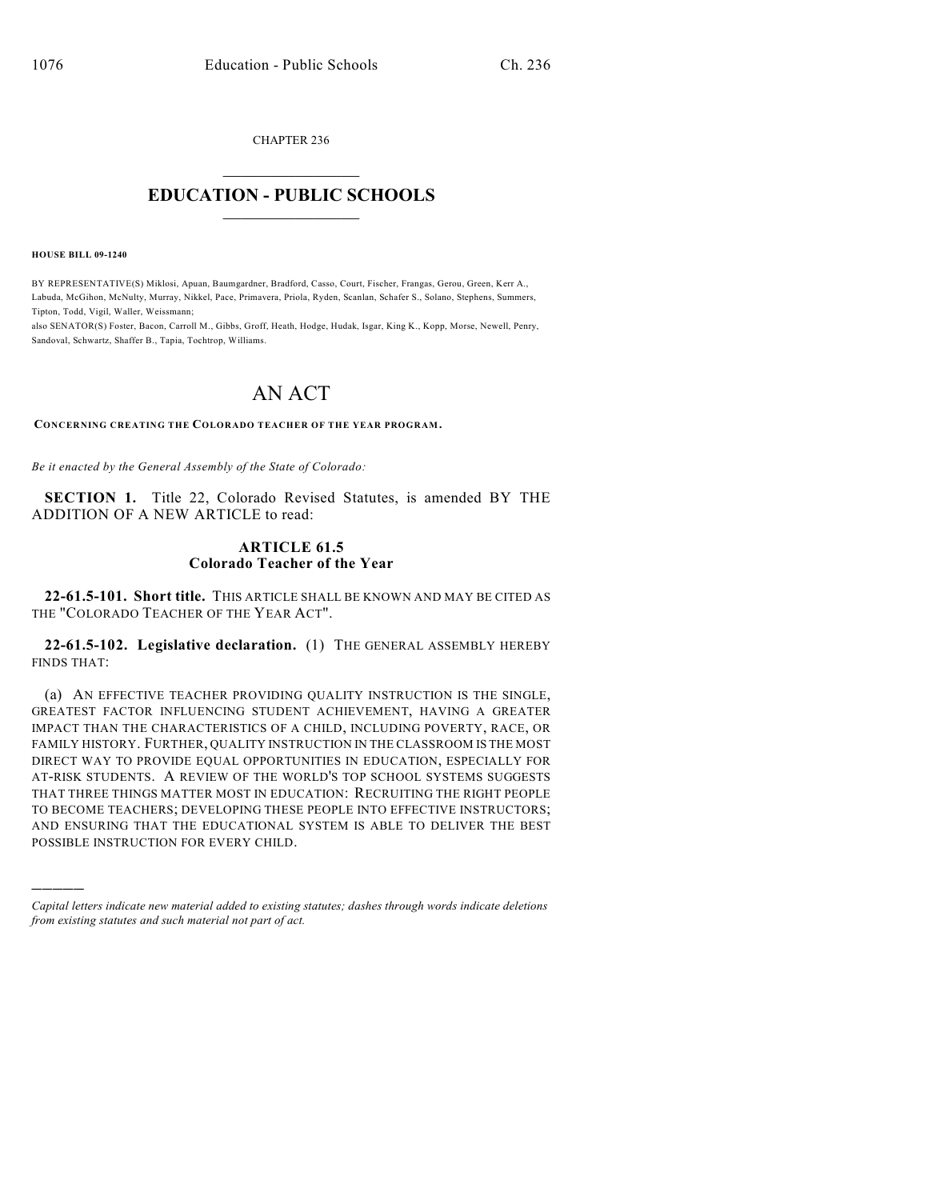CHAPTER 236  $\overline{\phantom{a}}$  . The set of the set of the set of the set of the set of the set of the set of the set of the set of the set of the set of the set of the set of the set of the set of the set of the set of the set of the set o

## **EDUCATION - PUBLIC SCHOOLS**  $\_$   $\_$   $\_$   $\_$   $\_$   $\_$   $\_$   $\_$   $\_$

**HOUSE BILL 09-1240**

)))))

BY REPRESENTATIVE(S) Miklosi, Apuan, Baumgardner, Bradford, Casso, Court, Fischer, Frangas, Gerou, Green, Kerr A., Labuda, McGihon, McNulty, Murray, Nikkel, Pace, Primavera, Priola, Ryden, Scanlan, Schafer S., Solano, Stephens, Summers, Tipton, Todd, Vigil, Waller, Weissmann;

also SENATOR(S) Foster, Bacon, Carroll M., Gibbs, Groff, Heath, Hodge, Hudak, Isgar, King K., Kopp, Morse, Newell, Penry, Sandoval, Schwartz, Shaffer B., Tapia, Tochtrop, Williams.

## AN ACT

**CONCERNING CREATING THE COLORADO TEACHER OF THE YEAR PROGRAM.**

*Be it enacted by the General Assembly of the State of Colorado:*

**SECTION 1.** Title 22, Colorado Revised Statutes, is amended BY THE ADDITION OF A NEW ARTICLE to read:

## **ARTICLE 61.5 Colorado Teacher of the Year**

**22-61.5-101. Short title.** THIS ARTICLE SHALL BE KNOWN AND MAY BE CITED AS THE "COLORADO TEACHER OF THE YEAR ACT".

**22-61.5-102. Legislative declaration.** (1) THE GENERAL ASSEMBLY HEREBY FINDS THAT:

(a) AN EFFECTIVE TEACHER PROVIDING QUALITY INSTRUCTION IS THE SINGLE, GREATEST FACTOR INFLUENCING STUDENT ACHIEVEMENT, HAVING A GREATER IMPACT THAN THE CHARACTERISTICS OF A CHILD, INCLUDING POVERTY, RACE, OR FAMILY HISTORY. FURTHER, QUALITY INSTRUCTION IN THE CLASSROOM IS THE MOST DIRECT WAY TO PROVIDE EQUAL OPPORTUNITIES IN EDUCATION, ESPECIALLY FOR AT-RISK STUDENTS. A REVIEW OF THE WORLD'S TOP SCHOOL SYSTEMS SUGGESTS THAT THREE THINGS MATTER MOST IN EDUCATION: RECRUITING THE RIGHT PEOPLE TO BECOME TEACHERS; DEVELOPING THESE PEOPLE INTO EFFECTIVE INSTRUCTORS; AND ENSURING THAT THE EDUCATIONAL SYSTEM IS ABLE TO DELIVER THE BEST POSSIBLE INSTRUCTION FOR EVERY CHILD.

*Capital letters indicate new material added to existing statutes; dashes through words indicate deletions from existing statutes and such material not part of act.*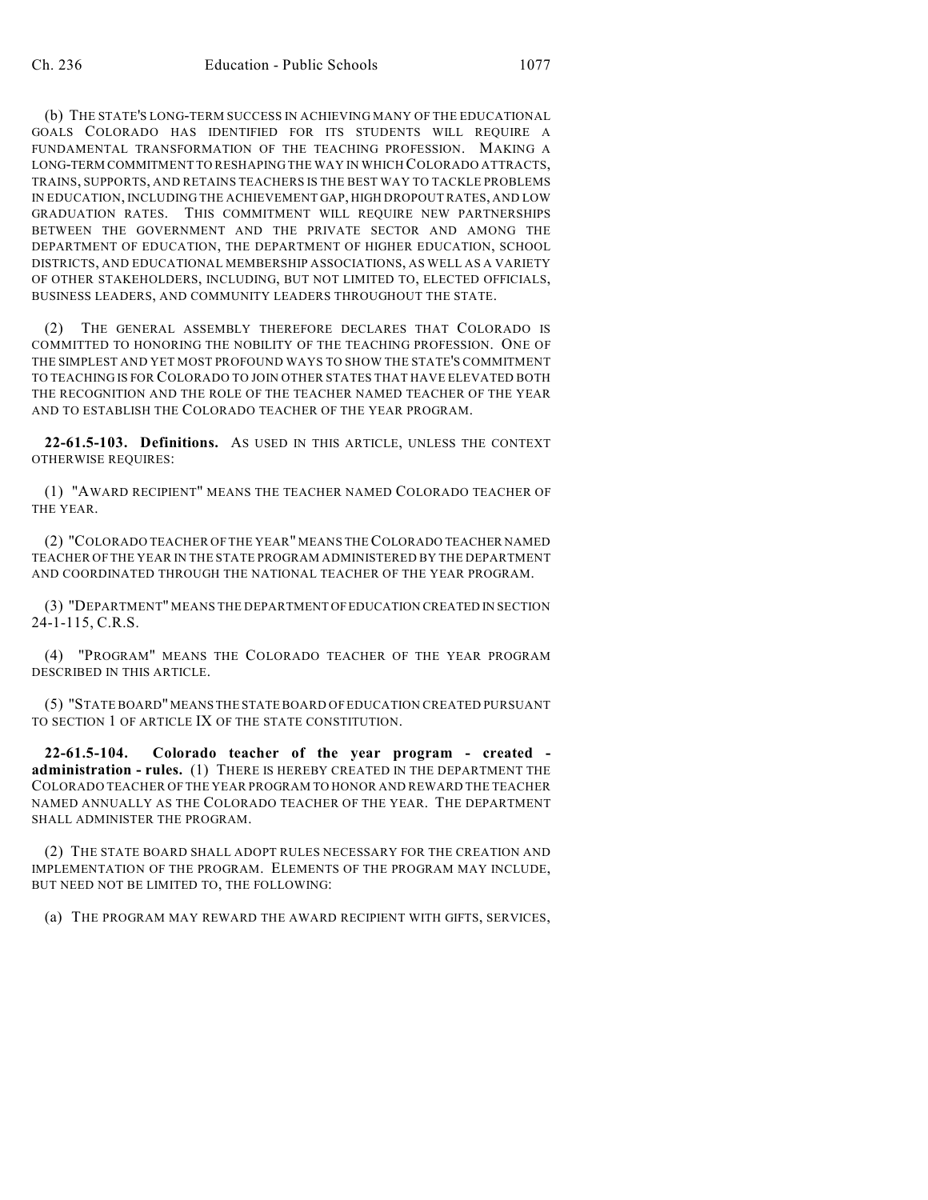(b) THE STATE'S LONG-TERM SUCCESS IN ACHIEVING MANY OF THE EDUCATIONAL GOALS COLORADO HAS IDENTIFIED FOR ITS STUDENTS WILL REQUIRE A FUNDAMENTAL TRANSFORMATION OF THE TEACHING PROFESSION. MAKING A LONG-TERM COMMITMENT TO RESHAPING THE WAY IN WHICH COLORADO ATTRACTS, TRAINS, SUPPORTS, AND RETAINS TEACHERS IS THE BEST WAY TO TACKLE PROBLEMS IN EDUCATION, INCLUDING THE ACHIEVEMENT GAP, HIGH DROPOUT RATES, AND LOW GRADUATION RATES. THIS COMMITMENT WILL REQUIRE NEW PARTNERSHIPS BETWEEN THE GOVERNMENT AND THE PRIVATE SECTOR AND AMONG THE DEPARTMENT OF EDUCATION, THE DEPARTMENT OF HIGHER EDUCATION, SCHOOL DISTRICTS, AND EDUCATIONAL MEMBERSHIP ASSOCIATIONS, AS WELL AS A VARIETY OF OTHER STAKEHOLDERS, INCLUDING, BUT NOT LIMITED TO, ELECTED OFFICIALS, BUSINESS LEADERS, AND COMMUNITY LEADERS THROUGHOUT THE STATE.

(2) THE GENERAL ASSEMBLY THEREFORE DECLARES THAT COLORADO IS COMMITTED TO HONORING THE NOBILITY OF THE TEACHING PROFESSION. ONE OF THE SIMPLEST AND YET MOST PROFOUND WAYS TO SHOW THE STATE'S COMMITMENT TO TEACHING IS FOR COLORADO TO JOIN OTHER STATES THAT HAVE ELEVATED BOTH THE RECOGNITION AND THE ROLE OF THE TEACHER NAMED TEACHER OF THE YEAR AND TO ESTABLISH THE COLORADO TEACHER OF THE YEAR PROGRAM.

**22-61.5-103. Definitions.** AS USED IN THIS ARTICLE, UNLESS THE CONTEXT OTHERWISE REQUIRES:

(1) "AWARD RECIPIENT" MEANS THE TEACHER NAMED COLORADO TEACHER OF THE YEAR.

(2) "COLORADO TEACHER OF THE YEAR" MEANS THE COLORADO TEACHER NAMED TEACHER OF THE YEAR IN THE STATE PROGRAM ADMINISTERED BY THE DEPARTMENT AND COORDINATED THROUGH THE NATIONAL TEACHER OF THE YEAR PROGRAM.

(3) "DEPARTMENT" MEANS THE DEPARTMENT OF EDUCATION CREATED IN SECTION 24-1-115, C.R.S.

(4) "PROGRAM" MEANS THE COLORADO TEACHER OF THE YEAR PROGRAM DESCRIBED IN THIS ARTICLE.

(5) "STATE BOARD" MEANS THE STATE BOARD OF EDUCATION CREATED PURSUANT TO SECTION 1 OF ARTICLE IX OF THE STATE CONSTITUTION.

**22-61.5-104. Colorado teacher of the year program - created administration - rules.** (1) THERE IS HEREBY CREATED IN THE DEPARTMENT THE COLORADO TEACHER OF THE YEAR PROGRAM TO HONOR AND REWARD THE TEACHER NAMED ANNUALLY AS THE COLORADO TEACHER OF THE YEAR. THE DEPARTMENT SHALL ADMINISTER THE PROGRAM.

(2) THE STATE BOARD SHALL ADOPT RULES NECESSARY FOR THE CREATION AND IMPLEMENTATION OF THE PROGRAM. ELEMENTS OF THE PROGRAM MAY INCLUDE, BUT NEED NOT BE LIMITED TO, THE FOLLOWING:

(a) THE PROGRAM MAY REWARD THE AWARD RECIPIENT WITH GIFTS, SERVICES,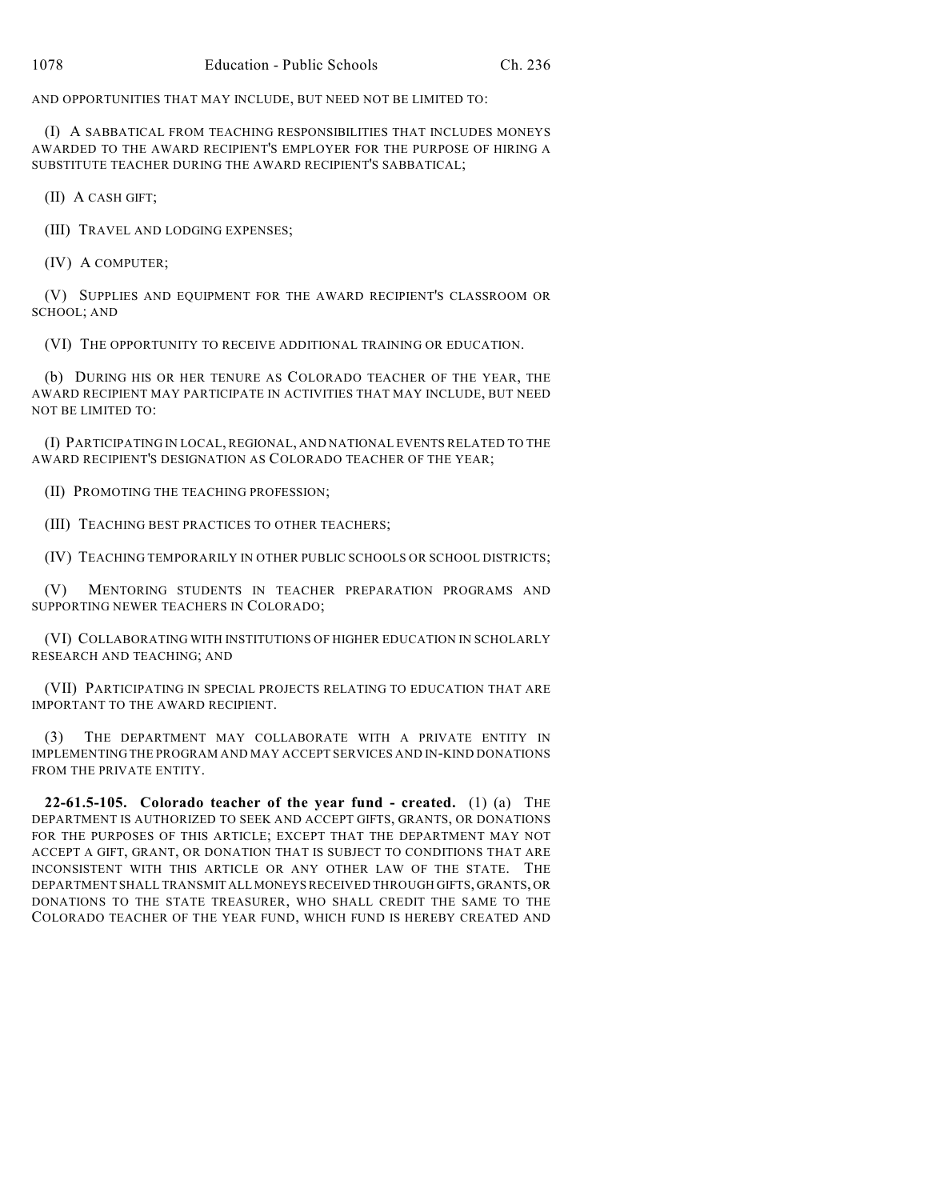AND OPPORTUNITIES THAT MAY INCLUDE, BUT NEED NOT BE LIMITED TO:

(I) A SABBATICAL FROM TEACHING RESPONSIBILITIES THAT INCLUDES MONEYS AWARDED TO THE AWARD RECIPIENT'S EMPLOYER FOR THE PURPOSE OF HIRING A SUBSTITUTE TEACHER DURING THE AWARD RECIPIENT'S SABBATICAL;

(II) A CASH GIFT;

(III) TRAVEL AND LODGING EXPENSES;

(IV) A COMPUTER;

(V) SUPPLIES AND EQUIPMENT FOR THE AWARD RECIPIENT'S CLASSROOM OR SCHOOL; AND

(VI) THE OPPORTUNITY TO RECEIVE ADDITIONAL TRAINING OR EDUCATION.

(b) DURING HIS OR HER TENURE AS COLORADO TEACHER OF THE YEAR, THE AWARD RECIPIENT MAY PARTICIPATE IN ACTIVITIES THAT MAY INCLUDE, BUT NEED NOT BE LIMITED TO:

(I) PARTICIPATING IN LOCAL, REGIONAL, AND NATIONAL EVENTS RELATED TO THE AWARD RECIPIENT'S DESIGNATION AS COLORADO TEACHER OF THE YEAR;

(II) PROMOTING THE TEACHING PROFESSION;

(III) TEACHING BEST PRACTICES TO OTHER TEACHERS;

(IV) TEACHING TEMPORARILY IN OTHER PUBLIC SCHOOLS OR SCHOOL DISTRICTS;

(V) MENTORING STUDENTS IN TEACHER PREPARATION PROGRAMS AND SUPPORTING NEWER TEACHERS IN COLORADO;

(VI) COLLABORATING WITH INSTITUTIONS OF HIGHER EDUCATION IN SCHOLARLY RESEARCH AND TEACHING; AND

(VII) PARTICIPATING IN SPECIAL PROJECTS RELATING TO EDUCATION THAT ARE IMPORTANT TO THE AWARD RECIPIENT.

(3) THE DEPARTMENT MAY COLLABORATE WITH A PRIVATE ENTITY IN IMPLEMENTING THE PROGRAM AND MAY ACCEPT SERVICES AND IN-KIND DONATIONS FROM THE PRIVATE ENTITY.

**22-61.5-105. Colorado teacher of the year fund - created.** (1) (a) THE DEPARTMENT IS AUTHORIZED TO SEEK AND ACCEPT GIFTS, GRANTS, OR DONATIONS FOR THE PURPOSES OF THIS ARTICLE; EXCEPT THAT THE DEPARTMENT MAY NOT ACCEPT A GIFT, GRANT, OR DONATION THAT IS SUBJECT TO CONDITIONS THAT ARE INCONSISTENT WITH THIS ARTICLE OR ANY OTHER LAW OF THE STATE. THE DEPARTMENT SHALL TRANSMIT ALL MONEYS RECEIVED THROUGH GIFTS, GRANTS, OR DONATIONS TO THE STATE TREASURER, WHO SHALL CREDIT THE SAME TO THE COLORADO TEACHER OF THE YEAR FUND, WHICH FUND IS HEREBY CREATED AND